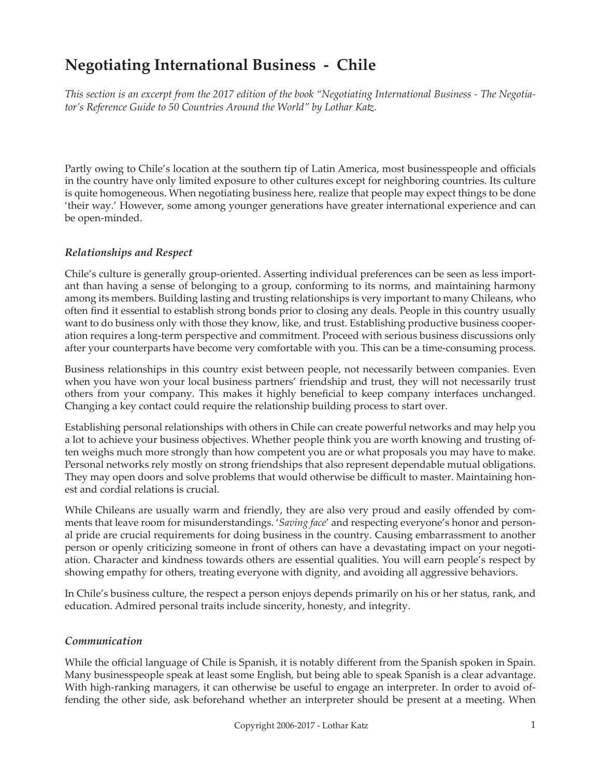# **Negotiating International Business - Chile**

*This section is an excerpt from the 2017 edition of the book "Negotiating International Business - The Negotiator's Reference Guide to 50 Countries Around the World" by Lothar Katz.*

Partly owing to Chile's location at the southern tip of Latin America, most businesspeople and officials in the country have only limited exposure to other cultures except for neighboring countries. Its culture is quite homogeneous. When negotiating business here, realize that people may expect things to be done 'their way.' However, some among younger generations have greater international experience and can be open-minded.

#### *Relationships and Respect*

Chile's culture is generally group-oriented. Asserting individual preferences can be seen as less important than having a sense of belonging to a group, conforming to its norms, and maintaining harmony among its members. Building lasting and trusting relationships is very important to many Chileans, who often find it essential to establish strong bonds prior to closing any deals. People in this country usually want to do business only with those they know, like, and trust. Establishing productive business cooperation requires a long-term perspective and commitment. Proceed with serious business discussions only after your counterparts have become very comfortable with you. This can be a time-consuming process.

Business relationships in this country exist between people, not necessarily between companies. Even when you have won your local business partners' friendship and trust, they will not necessarily trust others from your company. This makes it highly beneficial to keep company interfaces unchanged. Changing a key contact could require the relationship building process to start over.

Establishing personal relationships with others in Chile can create powerful networks and may help you a lot to achieve your business objectives. Whether people think you are worth knowing and trusting often weighs much more strongly than how competent you are or what proposals you may have to make. Personal networks rely mostly on strong friendships that also represent dependable mutual obligations. They may open doors and solve problems that would otherwise be difficult to master. Maintaining honest and cordial relations is crucial.

While Chileans are usually warm and friendly, they are also very proud and easily offended by comments that leave room for misunderstandings. '*Saving face*' and respecting everyone's honor and personal pride are crucial requirements for doing business in the country. Causing embarrassment to another person or openly criticizing someone in front of others can have a devastating impact on your negotiation. Character and kindness towards others are essential qualities. You will earn people's respect by showing empathy for others, treating everyone with dignity, and avoiding all aggressive behaviors.

In Chile's business culture, the respect a person enjoys depends primarily on his or her status, rank, and education. Admired personal traits include sincerity, honesty, and integrity.

#### *Communication*

While the official language of Chile is Spanish, it is notably different from the Spanish spoken in Spain. Many businesspeople speak at least some English, but being able to speak Spanish is a clear advantage. With high-ranking managers, it can otherwise be useful to engage an interpreter. In order to avoid offending the other side, ask beforehand whether an interpreter should be present at a meeting. When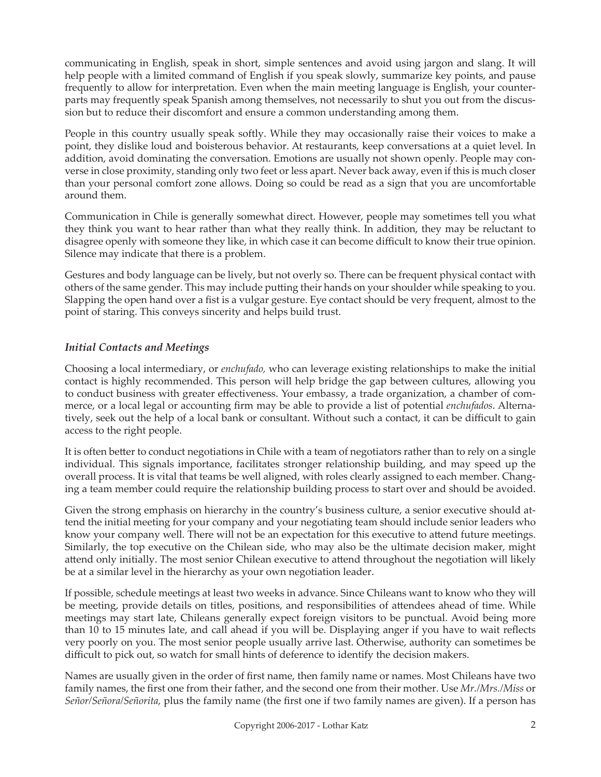communicating in English, speak in short, simple sentences and avoid using jargon and slang. It will help people with a limited command of English if you speak slowly, summarize key points, and pause frequently to allow for interpretation. Even when the main meeting language is English, your counterparts may frequently speak Spanish among themselves, not necessarily to shut you out from the discussion but to reduce their discomfort and ensure a common understanding among them.

People in this country usually speak softly. While they may occasionally raise their voices to make a point, they dislike loud and boisterous behavior. At restaurants, keep conversations at a quiet level. In addition, avoid dominating the conversation. Emotions are usually not shown openly. People may converse in close proximity, standing only two feet or less apart. Never back away, even if this is much closer than your personal comfort zone allows. Doing so could be read as a sign that you are uncomfortable around them.

Communication in Chile is generally somewhat direct. However, people may sometimes tell you what they think you want to hear rather than what they really think. In addition, they may be reluctant to disagree openly with someone they like, in which case it can become difficult to know their true opinion. Silence may indicate that there is a problem.

Gestures and body language can be lively, but not overly so. There can be frequent physical contact with others of the same gender. This may include putting their hands on your shoulder while speaking to you. Slapping the open hand over a fist is a vulgar gesture. Eye contact should be very frequent, almost to the point of staring. This conveys sincerity and helps build trust.

## *Initial Contacts and Meetings*

Choosing a local intermediary, or *enchufado,* who can leverage existing relationships to make the initial contact is highly recommended. This person will help bridge the gap between cultures, allowing you to conduct business with greater effectiveness. Your embassy, a trade organization, a chamber of commerce, or a local legal or accounting firm may be able to provide a list of potential *enchufados*. Alternatively, seek out the help of a local bank or consultant. Without such a contact, it can be difficult to gain access to the right people.

It is often better to conduct negotiations in Chile with a team of negotiators rather than to rely on a single individual. This signals importance, facilitates stronger relationship building, and may speed up the overall process. It is vital that teams be well aligned, with roles clearly assigned to each member. Changing a team member could require the relationship building process to start over and should be avoided.

Given the strong emphasis on hierarchy in the country's business culture, a senior executive should attend the initial meeting for your company and your negotiating team should include senior leaders who know your company well. There will not be an expectation for this executive to attend future meetings. Similarly, the top executive on the Chilean side, who may also be the ultimate decision maker, might attend only initially. The most senior Chilean executive to attend throughout the negotiation will likely be at a similar level in the hierarchy as your own negotiation leader.

If possible, schedule meetings at least two weeks in advance. Since Chileans want to know who they will be meeting, provide details on titles, positions, and responsibilities of attendees ahead of time. While meetings may start late, Chileans generally expect foreign visitors to be punctual. Avoid being more than 10 to 15 minutes late, and call ahead if you will be. Displaying anger if you have to wait reflects very poorly on you. The most senior people usually arrive last. Otherwise, authority can sometimes be difficult to pick out, so watch for small hints of deference to identify the decision makers.

Names are usually given in the order of first name, then family name or names. Most Chileans have two family names, the first one from their father, and the second one from their mother. Use *Mr./Mrs./Miss* or *Señor/Señora/Señorita,* plus the family name (the first one if two family names are given). If a person has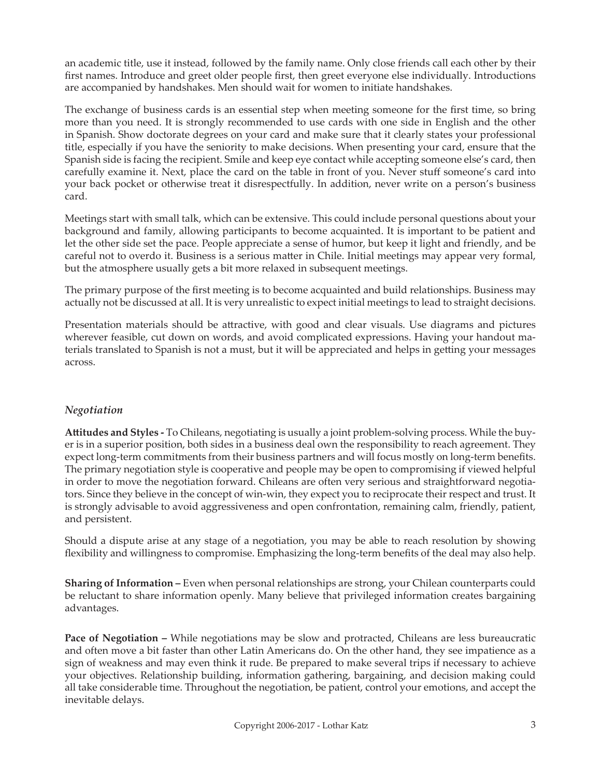an academic title, use it instead, followed by the family name. Only close friends call each other by their first names. Introduce and greet older people first, then greet everyone else individually. Introductions are accompanied by handshakes. Men should wait for women to initiate handshakes.

The exchange of business cards is an essential step when meeting someone for the first time, so bring more than you need. It is strongly recommended to use cards with one side in English and the other in Spanish. Show doctorate degrees on your card and make sure that it clearly states your professional title, especially if you have the seniority to make decisions. When presenting your card, ensure that the Spanish side is facing the recipient. Smile and keep eye contact while accepting someone else's card, then carefully examine it. Next, place the card on the table in front of you. Never stuff someone's card into your back pocket or otherwise treat it disrespectfully. In addition, never write on a person's business card.

Meetings start with small talk, which can be extensive. This could include personal questions about your background and family, allowing participants to become acquainted. It is important to be patient and let the other side set the pace. People appreciate a sense of humor, but keep it light and friendly, and be careful not to overdo it. Business is a serious matter in Chile. Initial meetings may appear very formal, but the atmosphere usually gets a bit more relaxed in subsequent meetings.

The primary purpose of the first meeting is to become acquainted and build relationships. Business may actually not be discussed at all. It is very unrealistic to expect initial meetings to lead to straight decisions.

Presentation materials should be attractive, with good and clear visuals. Use diagrams and pictures wherever feasible, cut down on words, and avoid complicated expressions. Having your handout materials translated to Spanish is not a must, but it will be appreciated and helps in getting your messages across.

### *Negotiation*

**Attitudes and Styles -** To Chileans, negotiating is usually a joint problem-solving process. While the buyer is in a superior position, both sides in a business deal own the responsibility to reach agreement. They expect long-term commitments from their business partners and will focus mostly on long-term benefits. The primary negotiation style is cooperative and people may be open to compromising if viewed helpful in order to move the negotiation forward. Chileans are often very serious and straightforward negotiators. Since they believe in the concept of win-win, they expect you to reciprocate their respect and trust. It is strongly advisable to avoid aggressiveness and open confrontation, remaining calm, friendly, patient, and persistent.

Should a dispute arise at any stage of a negotiation, you may be able to reach resolution by showing flexibility and willingness to compromise. Emphasizing the long-term benefits of the deal may also help.

**Sharing of Information –** Even when personal relationships are strong, your Chilean counterparts could be reluctant to share information openly. Many believe that privileged information creates bargaining advantages.

**Pace of Negotiation –** While negotiations may be slow and protracted, Chileans are less bureaucratic and often move a bit faster than other Latin Americans do. On the other hand, they see impatience as a sign of weakness and may even think it rude. Be prepared to make several trips if necessary to achieve your objectives. Relationship building, information gathering, bargaining, and decision making could all take considerable time. Throughout the negotiation, be patient, control your emotions, and accept the inevitable delays.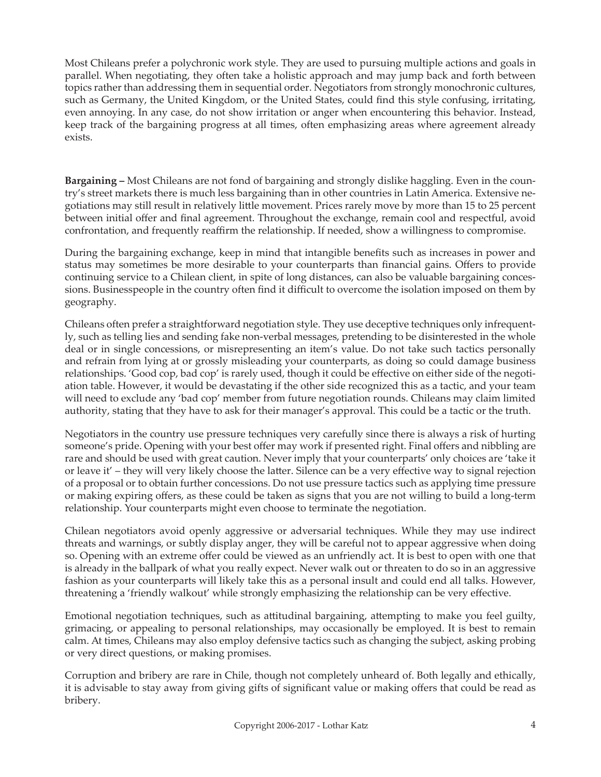Most Chileans prefer a polychronic work style. They are used to pursuing multiple actions and goals in parallel. When negotiating, they often take a holistic approach and may jump back and forth between topics rather than addressing them in sequential order. Negotiators from strongly monochronic cultures, such as Germany, the United Kingdom, or the United States, could find this style confusing, irritating, even annoying. In any case, do not show irritation or anger when encountering this behavior. Instead, keep track of the bargaining progress at all times, often emphasizing areas where agreement already exists.

**Bargaining –** Most Chileans are not fond of bargaining and strongly dislike haggling. Even in the country's street markets there is much less bargaining than in other countries in Latin America. Extensive negotiations may still result in relatively little movement. Prices rarely move by more than 15 to 25 percent between initial offer and final agreement. Throughout the exchange, remain cool and respectful, avoid confrontation, and frequently reaffirm the relationship. If needed, show a willingness to compromise.

During the bargaining exchange, keep in mind that intangible benefits such as increases in power and status may sometimes be more desirable to your counterparts than financial gains. Offers to provide continuing service to a Chilean client, in spite of long distances, can also be valuable bargaining concessions. Businesspeople in the country often find it difficult to overcome the isolation imposed on them by geography.

Chileans often prefer a straightforward negotiation style. They use deceptive techniques only infrequently, such as telling lies and sending fake non-verbal messages, pretending to be disinterested in the whole deal or in single concessions, or misrepresenting an item's value. Do not take such tactics personally and refrain from lying at or grossly misleading your counterparts, as doing so could damage business relationships. 'Good cop, bad cop' is rarely used, though it could be effective on either side of the negotiation table. However, it would be devastating if the other side recognized this as a tactic, and your team will need to exclude any 'bad cop' member from future negotiation rounds. Chileans may claim limited authority, stating that they have to ask for their manager's approval. This could be a tactic or the truth.

Negotiators in the country use pressure techniques very carefully since there is always a risk of hurting someone's pride. Opening with your best offer may work if presented right. Final offers and nibbling are rare and should be used with great caution. Never imply that your counterparts' only choices are 'take it or leave it' – they will very likely choose the latter. Silence can be a very effective way to signal rejection of a proposal or to obtain further concessions. Do not use pressure tactics such as applying time pressure or making expiring offers, as these could be taken as signs that you are not willing to build a long-term relationship. Your counterparts might even choose to terminate the negotiation.

Chilean negotiators avoid openly aggressive or adversarial techniques. While they may use indirect threats and warnings, or subtly display anger, they will be careful not to appear aggressive when doing so. Opening with an extreme offer could be viewed as an unfriendly act. It is best to open with one that is already in the ballpark of what you really expect. Never walk out or threaten to do so in an aggressive fashion as your counterparts will likely take this as a personal insult and could end all talks. However, threatening a 'friendly walkout' while strongly emphasizing the relationship can be very effective.

Emotional negotiation techniques, such as attitudinal bargaining, attempting to make you feel guilty, grimacing, or appealing to personal relationships, may occasionally be employed. It is best to remain calm. At times, Chileans may also employ defensive tactics such as changing the subject, asking probing or very direct questions, or making promises.

Corruption and bribery are rare in Chile, though not completely unheard of. Both legally and ethically, it is advisable to stay away from giving gifts of significant value or making offers that could be read as bribery.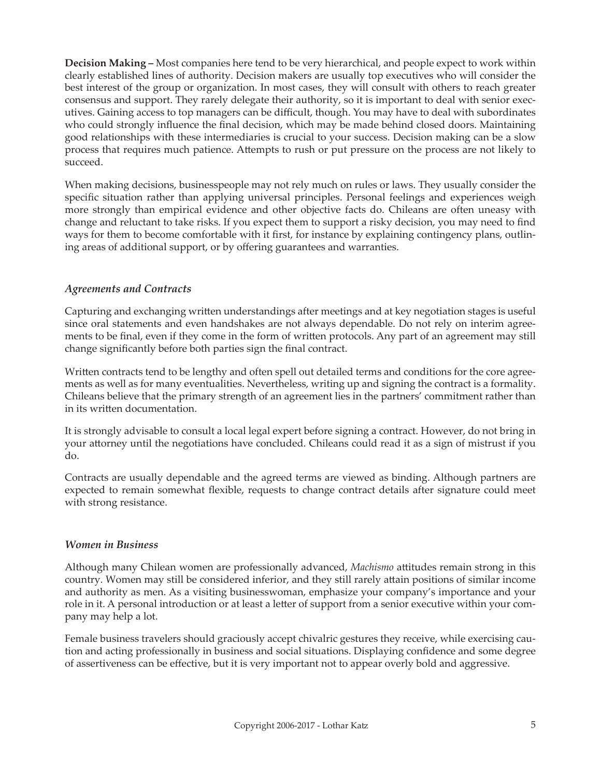**Decision Making –** Most companies here tend to be very hierarchical, and people expect to work within clearly established lines of authority. Decision makers are usually top executives who will consider the best interest of the group or organization. In most cases, they will consult with others to reach greater consensus and support. They rarely delegate their authority, so it is important to deal with senior executives. Gaining access to top managers can be difficult, though. You may have to deal with subordinates who could strongly influence the final decision, which may be made behind closed doors. Maintaining good relationships with these intermediaries is crucial to your success. Decision making can be a slow process that requires much patience. Attempts to rush or put pressure on the process are not likely to succeed.

When making decisions, businesspeople may not rely much on rules or laws. They usually consider the specific situation rather than applying universal principles. Personal feelings and experiences weigh more strongly than empirical evidence and other objective facts do. Chileans are often uneasy with change and reluctant to take risks. If you expect them to support a risky decision, you may need to find ways for them to become comfortable with it first, for instance by explaining contingency plans, outlining areas of additional support, or by offering guarantees and warranties.

### *Agreements and Contracts*

Capturing and exchanging written understandings after meetings and at key negotiation stages is useful since oral statements and even handshakes are not always dependable. Do not rely on interim agreements to be final, even if they come in the form of written protocols. Any part of an agreement may still change significantly before both parties sign the final contract.

Written contracts tend to be lengthy and often spell out detailed terms and conditions for the core agreements as well as for many eventualities. Nevertheless, writing up and signing the contract is a formality. Chileans believe that the primary strength of an agreement lies in the partners' commitment rather than in its written documentation.

It is strongly advisable to consult a local legal expert before signing a contract. However, do not bring in your attorney until the negotiations have concluded. Chileans could read it as a sign of mistrust if you do.

Contracts are usually dependable and the agreed terms are viewed as binding. Although partners are expected to remain somewhat flexible, requests to change contract details after signature could meet with strong resistance.

### *Women in Business*

Although many Chilean women are professionally advanced, *Machismo* attitudes remain strong in this country. Women may still be considered inferior, and they still rarely attain positions of similar income and authority as men. As a visiting businesswoman, emphasize your company's importance and your role in it. A personal introduction or at least a letter of support from a senior executive within your company may help a lot.

Female business travelers should graciously accept chivalric gestures they receive, while exercising caution and acting professionally in business and social situations. Displaying confidence and some degree of assertiveness can be effective, but it is very important not to appear overly bold and aggressive.